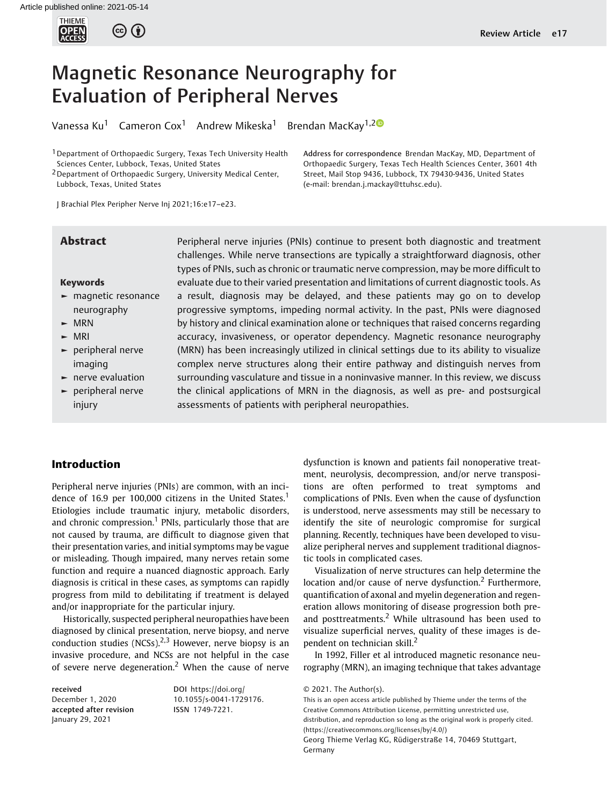

# Magnetic Resonance Neurography for Evaluation of Peripheral Nerves

Vanessa Ku<sup>1</sup> Cameron Cox<sup>1</sup> Andrew Mikeska<sup>1</sup> Brendan MacKay<sup>1,20</sup>

<sup>1</sup> Department of Orthopaedic Surgery, Texas Tech University Health Sciences Center, Lubbock, Texas, United States

2Department of Orthopaedic Surgery, University Medical Center, Lubbock, Texas, United States

J Brachial Plex Peripher Nerve Inj 2021;16:e17–e23.

#### Keywords

- ► magnetic resonance neurography
- ► MRN
- ► MRI
- ► peripheral nerve imaging
- ► nerve evaluation
- ► peripheral nerve injury

**Abstract** Peripheral nerve injuries (PNIs) continue to present both diagnostic and treatment challenges. While nerve transections are typically a straightforward diagnosis, other types of PNIs, such as chronic or traumatic nerve compression, may be more difficult to evaluate due to their varied presentation and limitations of current diagnostic tools. As a result, diagnosis may be delayed, and these patients may go on to develop progressive symptoms, impeding normal activity. In the past, PNIs were diagnosed by history and clinical examination alone or techniques that raised concerns regarding accuracy, invasiveness, or operator dependency. Magnetic resonance neurography (MRN) has been increasingly utilized in clinical settings due to its ability to visualize complex nerve structures along their entire pathway and distinguish nerves from surrounding vasculature and tissue in a noninvasive manner. In this review, we discuss the clinical applications of MRN in the diagnosis, as well as pre- and postsurgical assessments of patients with peripheral neuropathies.

(e-mail: [brendan.j.mackay@ttuhsc.edu\)](mailto:brendan.j.mackay@ttuhsc.edu).

# Introduction

Peripheral nerve injuries (PNIs) are common, with an incidence of 16.9 per 100,000 citizens in the United States.<sup>1</sup> Etiologies include traumatic injury, metabolic disorders, and chronic compression.<sup>1</sup> PNIs, particularly those that are not caused by trauma, are difficult to diagnose given that their presentation varies, and initial symptoms may be vague or misleading. Though impaired, many nerves retain some function and require a nuanced diagnostic approach. Early diagnosis is critical in these cases, as symptoms can rapidly progress from mild to debilitating if treatment is delayed and/or inappropriate for the particular injury.

Historically, suspected peripheral neuropathies have been diagnosed by clinical presentation, nerve biopsy, and nerve conduction studies (NCSs).<sup>2,3</sup> However, nerve biopsy is an invasive procedure, and NCSs are not helpful in the case of severe nerve degeneration.<sup>2</sup> When the cause of nerve

received December 1, 2020 accepted after revision January 29, 2021

DOI [https://doi.org/](https://doi.org/10.1055/s-0041-1729176) [10.1055/s-0041-1729176](https://doi.org/10.1055/s-0041-1729176). ISSN 1749-7221.

dysfunction is known and patients fail nonoperative treatment, neurolysis, decompression, and/or nerve transpositions are often performed to treat symptoms and complications of PNIs. Even when the cause of dysfunction is understood, nerve assessments may still be necessary to identify the site of neurologic compromise for surgical planning. Recently, techniques have been developed to visualize peripheral nerves and supplement traditional diagnostic tools in complicated cases.

Address for correspondence Brendan MacKay, MD, Department of Orthopaedic Surgery, Texas Tech Health Sciences Center, 3601 4th Street, Mail Stop 9436, Lubbock, TX 79430-9436, United States

Visualization of nerve structures can help determine the location and/or cause of nerve dysfunction.<sup>2</sup> Furthermore, quantification of axonal and myelin degeneration and regeneration allows monitoring of disease progression both preand posttreatments.<sup>2</sup> While ultrasound has been used to visualize superficial nerves, quality of these images is dependent on technician skill.<sup>2</sup>

In 1992, Filler et al introduced magnetic resonance neurography (MRN), an imaging technique that takes advantage

© 2021. The Author(s).

This is an open access article published by Thieme under the terms of the Creative Commons Attribution License, permitting unrestricted use, distribution, and reproduction so long as the original work is properly cited. (https://creativecommons.org/licenses/by/4.0/) Georg Thieme Verlag KG, Rüdigerstraße 14, 70469 Stuttgart, Germany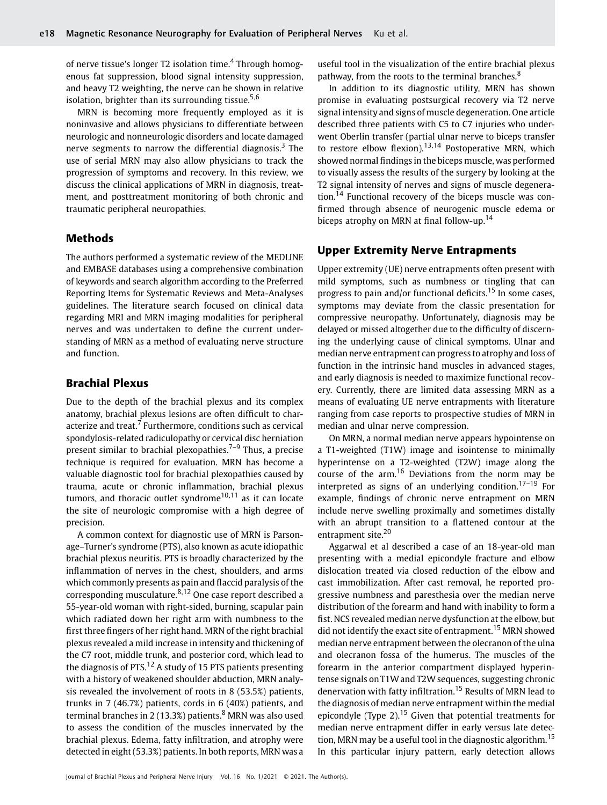of nerve tissue's longer T2 isolation time.<sup>4</sup> Through homogenous fat suppression, blood signal intensity suppression, and heavy T2 weighting, the nerve can be shown in relative isolation, brighter than its surrounding tissue. $5,6$ 

MRN is becoming more frequently employed as it is noninvasive and allows physicians to differentiate between neurologic and nonneurologic disorders and locate damaged nerve segments to narrow the differential diagnosis.<sup>3</sup> The use of serial MRN may also allow physicians to track the progression of symptoms and recovery. In this review, we discuss the clinical applications of MRN in diagnosis, treatment, and posttreatment monitoring of both chronic and traumatic peripheral neuropathies.

# Methods

The authors performed a systematic review of the MEDLINE and EMBASE databases using a comprehensive combination of keywords and search algorithm according to the Preferred Reporting Items for Systematic Reviews and Meta-Analyses guidelines. The literature search focused on clinical data regarding MRI and MRN imaging modalities for peripheral nerves and was undertaken to define the current understanding of MRN as a method of evaluating nerve structure and function.

# Brachial Plexus

Due to the depth of the brachial plexus and its complex anatomy, brachial plexus lesions are often difficult to characterize and treat.<sup>7</sup> Furthermore, conditions such as cervical spondylosis-related radiculopathy or cervical disc herniation present similar to brachial plexopathies. $7-9$  Thus, a precise technique is required for evaluation. MRN has become a valuable diagnostic tool for brachial plexopathies caused by trauma, acute or chronic inflammation, brachial plexus tumors, and thoracic outlet syndrome<sup>10,11</sup> as it can locate the site of neurologic compromise with a high degree of precision.

A common context for diagnostic use of MRN is Parsonage–Turner's syndrome (PTS), also known as acute idiopathic brachial plexus neuritis. PTS is broadly characterized by the inflammation of nerves in the chest, shoulders, and arms which commonly presents as pain and flaccid paralysis of the corresponding musculature. $8,12$  One case report described a 55-year-old woman with right-sided, burning, scapular pain which radiated down her right arm with numbness to the first three fingers of her right hand. MRN of the right brachial plexus revealed a mild increase in intensity and thickening of the C7 root, middle trunk, and posterior cord, which lead to the diagnosis of  $PTS<sup>12</sup> A study of 15 PTS patients presenting$ with a history of weakened shoulder abduction, MRN analysis revealed the involvement of roots in 8 (53.5%) patients, trunks in 7 (46.7%) patients, cords in 6 (40%) patients, and terminal branches in 2 (13.3%) patients. $8$  MRN was also used to assess the condition of the muscles innervated by the brachial plexus. Edema, fatty infiltration, and atrophy were detected in eight (53.3%) patients. In both reports, MRN was a useful tool in the visualization of the entire brachial plexus pathway, from the roots to the terminal branches.<sup>8</sup>

In addition to its diagnostic utility, MRN has shown promise in evaluating postsurgical recovery via T2 nerve signal intensity and signs of muscle degeneration. One article described three patients with C5 to C7 injuries who underwent Oberlin transfer (partial ulnar nerve to biceps transfer to restore elbow flexion).<sup>13,14</sup> Postoperative MRN, which showed normal findings in the biceps muscle, was performed to visually assess the results of the surgery by looking at the T2 signal intensity of nerves and signs of muscle degeneration.<sup>14</sup> Functional recovery of the biceps muscle was confirmed through absence of neurogenic muscle edema or biceps atrophy on MRN at final follow-up.<sup>14</sup>

## Upper Extremity Nerve Entrapments

Upper extremity (UE) nerve entrapments often present with mild symptoms, such as numbness or tingling that can progress to pain and/or functional deficits.<sup>15</sup> In some cases, symptoms may deviate from the classic presentation for compressive neuropathy. Unfortunately, diagnosis may be delayed or missed altogether due to the difficulty of discerning the underlying cause of clinical symptoms. Ulnar and median nerve entrapment can progress to atrophy and loss of function in the intrinsic hand muscles in advanced stages, and early diagnosis is needed to maximize functional recovery. Currently, there are limited data assessing MRN as a means of evaluating UE nerve entrapments with literature ranging from case reports to prospective studies of MRN in median and ulnar nerve compression.

On MRN, a normal median nerve appears hypointense on a T1-weighted (T1W) image and isointense to minimally hyperintense on a T2-weighted (T2W) image along the course of the  $arm<sup>16</sup>$  Deviations from the norm may be interpreted as signs of an underlying condition.<sup>17–19</sup> For example, findings of chronic nerve entrapment on MRN include nerve swelling proximally and sometimes distally with an abrupt transition to a flattened contour at the entrapment site.<sup>20</sup>

Aggarwal et al described a case of an 18-year-old man presenting with a medial epicondyle fracture and elbow dislocation treated via closed reduction of the elbow and cast immobilization. After cast removal, he reported progressive numbness and paresthesia over the median nerve distribution of the forearm and hand with inability to form a fist. NCS revealed median nerve dysfunction at the elbow, but did not identify the exact site of entrapment.<sup>15</sup> MRN showed median nerve entrapment between the olecranon of the ulna and olecranon fossa of the humerus. The muscles of the forearm in the anterior compartment displayed hyperintense signals on T1W and T2W sequences, suggesting chronic denervation with fatty infiltration.<sup>15</sup> Results of MRN lead to the diagnosis of median nerve entrapment within the medial epicondyle (Type 2).<sup>15</sup> Given that potential treatments for median nerve entrapment differ in early versus late detection, MRN may be a useful tool in the diagnostic algorithm.<sup>15</sup> In this particular injury pattern, early detection allows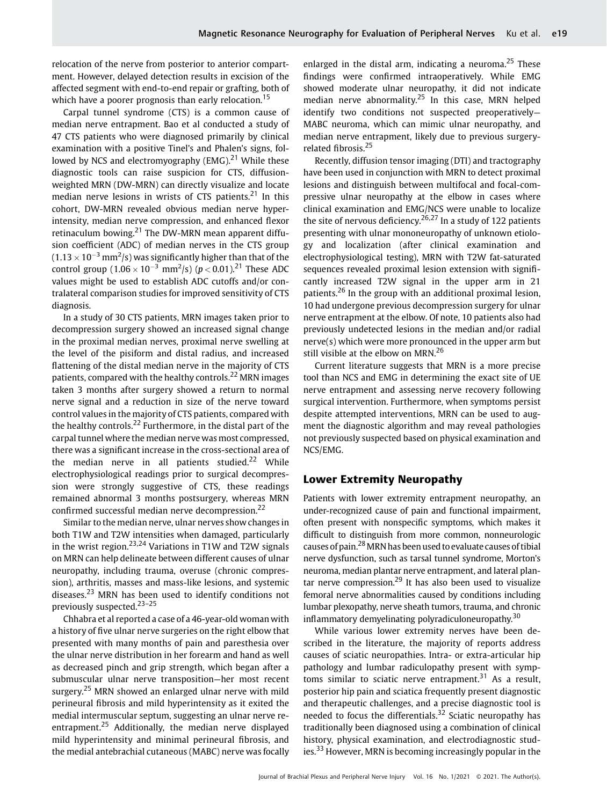relocation of the nerve from posterior to anterior compartment. However, delayed detection results in excision of the affected segment with end-to-end repair or grafting, both of which have a poorer prognosis than early relocation.<sup>15</sup>

Carpal tunnel syndrome (CTS) is a common cause of median nerve entrapment. Bao et al conducted a study of 47 CTS patients who were diagnosed primarily by clinical examination with a positive Tinel's and Phalen's signs, followed by NCS and electromyography (EMG).<sup>21</sup> While these diagnostic tools can raise suspicion for CTS, diffusionweighted MRN (DW-MRN) can directly visualize and locate median nerve lesions in wrists of CTS patients. $21$  In this cohort, DW-MRN revealed obvious median nerve hyperintensity, median nerve compression, and enhanced flexor retinaculum bowing. $21$  The DW-MRN mean apparent diffusion coefficient (ADC) of median nerves in the CTS group  $(1.13 \times 10^{-3} \,\mathrm{mm}^2/\mathrm{s})$  was significantly higher than that of the control group  $(1.06 \times 10^{-3} \text{ mm}^2/\text{s})$   $(p < 0.01)$ .<sup>21</sup> These ADC values might be used to establish ADC cutoffs and/or contralateral comparison studies for improved sensitivity of CTS diagnosis.

In a study of 30 CTS patients, MRN images taken prior to decompression surgery showed an increased signal change in the proximal median nerves, proximal nerve swelling at the level of the pisiform and distal radius, and increased flattening of the distal median nerve in the majority of CTS patients, compared with the healthy controls.<sup>22</sup> MRN images taken 3 months after surgery showed a return to normal nerve signal and a reduction in size of the nerve toward control values in the majority of CTS patients, compared with the healthy controls.<sup>22</sup> Furthermore, in the distal part of the carpal tunnel where the median nerve was most compressed, there was a significant increase in the cross-sectional area of the median nerve in all patients studied.<sup>22</sup> While electrophysiological readings prior to surgical decompression were strongly suggestive of CTS, these readings remained abnormal 3 months postsurgery, whereas MRN confirmed successful median nerve decompression.<sup>22</sup>

Similar to the median nerve, ulnar nerves show changes in both T1W and T2W intensities when damaged, particularly in the wrist region.<sup>23,24</sup> Variations in T1W and T2W signals on MRN can help delineate between different causes of ulnar neuropathy, including trauma, overuse (chronic compression), arthritis, masses and mass-like lesions, and systemic diseases.<sup>23</sup> MRN has been used to identify conditions not previously suspected.23–<sup>25</sup>

Chhabra et al reported a case of a 46-year-old woman with a history of five ulnar nerve surgeries on the right elbow that presented with many months of pain and paresthesia over the ulnar nerve distribution in her forearm and hand as well as decreased pinch and grip strength, which began after a submuscular ulnar nerve transposition—her most recent surgery.<sup>25</sup> MRN showed an enlarged ulnar nerve with mild perineural fibrosis and mild hyperintensity as it exited the medial intermuscular septum, suggesting an ulnar nerve reentrapment.<sup>25</sup> Additionally, the median nerve displayed mild hyperintensity and minimal perineural fibrosis, and the medial antebrachial cutaneous (MABC) nerve was focally enlarged in the distal arm, indicating a neuroma.<sup>25</sup> These findings were confirmed intraoperatively. While EMG showed moderate ulnar neuropathy, it did not indicate median nerve abnormality.<sup>25</sup> In this case, MRN helped identify two conditions not suspected preoperatively— MABC neuroma, which can mimic ulnar neuropathy, and median nerve entrapment, likely due to previous surgeryrelated fibrosis.<sup>25</sup>

Recently, diffusion tensor imaging (DTI) and tractography have been used in conjunction with MRN to detect proximal lesions and distinguish between multifocal and focal-compressive ulnar neuropathy at the elbow in cases where clinical examination and EMG/NCS were unable to localize the site of nervous deficiency.<sup>26,27</sup> In a study of 122 patients presenting with ulnar mononeuropathy of unknown etiology and localization (after clinical examination and electrophysiological testing), MRN with T2W fat-saturated sequences revealed proximal lesion extension with significantly increased T2W signal in the upper arm in 21 patients.<sup>26</sup> In the group with an additional proximal lesion, 10 had undergone previous decompression surgery for ulnar nerve entrapment at the elbow. Of note, 10 patients also had previously undetected lesions in the median and/or radial nerve(s) which were more pronounced in the upper arm but still visible at the elbow on MRN.<sup>26</sup>

Current literature suggests that MRN is a more precise tool than NCS and EMG in determining the exact site of UE nerve entrapment and assessing nerve recovery following surgical intervention. Furthermore, when symptoms persist despite attempted interventions, MRN can be used to augment the diagnostic algorithm and may reveal pathologies not previously suspected based on physical examination and NCS/EMG.

#### Lower Extremity Neuropathy

Patients with lower extremity entrapment neuropathy, an under-recognized cause of pain and functional impairment, often present with nonspecific symptoms, which makes it difficult to distinguish from more common, nonneurologic causes of pain.28MRN has been used to evaluate causes of tibial nerve dysfunction, such as tarsal tunnel syndrome, Morton's neuroma, median plantar nerve entrapment, and lateral plantar nerve compression.<sup>29</sup> It has also been used to visualize femoral nerve abnormalities caused by conditions including lumbar plexopathy, nerve sheath tumors, trauma, and chronic inflammatory demyelinating polyradiculoneuropathy.<sup>30</sup>

While various lower extremity nerves have been described in the literature, the majority of reports address causes of sciatic neuropathies. Intra- or extra-articular hip pathology and lumbar radiculopathy present with symptoms similar to sciatic nerve entrapment.<sup>31</sup> As a result, posterior hip pain and sciatica frequently present diagnostic and therapeutic challenges, and a precise diagnostic tool is needed to focus the differentials.<sup>32</sup> Sciatic neuropathy has traditionally been diagnosed using a combination of clinical history, physical examination, and electrodiagnostic studies.<sup>33</sup> However, MRN is becoming increasingly popular in the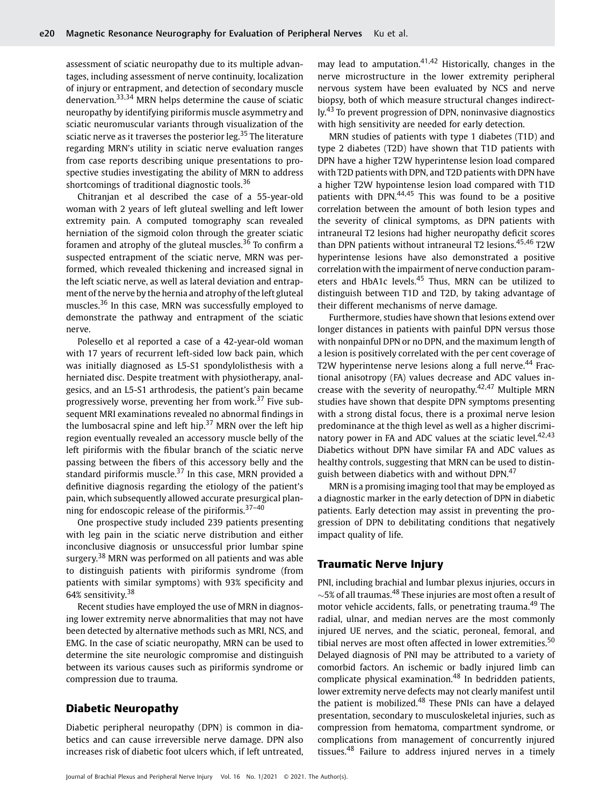assessment of sciatic neuropathy due to its multiple advantages, including assessment of nerve continuity, localization of injury or entrapment, and detection of secondary muscle denervation.33,34 MRN helps determine the cause of sciatic neuropathy by identifying piriformis muscle asymmetry and sciatic neuromuscular variants through visualization of the sciatic nerve as it traverses the posterior leg.<sup>35</sup> The literature regarding MRN's utility in sciatic nerve evaluation ranges from case reports describing unique presentations to prospective studies investigating the ability of MRN to address shortcomings of traditional diagnostic tools.<sup>36</sup>

Chitranjan et al described the case of a 55-year-old woman with 2 years of left gluteal swelling and left lower extremity pain. A computed tomography scan revealed herniation of the sigmoid colon through the greater sciatic foramen and atrophy of the gluteal muscles. $36$  To confirm a suspected entrapment of the sciatic nerve, MRN was performed, which revealed thickening and increased signal in the left sciatic nerve, as well as lateral deviation and entrapment of the nerve by the hernia and atrophy of the left gluteal muscles.<sup>36</sup> In this case, MRN was successfully employed to demonstrate the pathway and entrapment of the sciatic nerve.

Polesello et al reported a case of a 42-year-old woman with 17 years of recurrent left-sided low back pain, which was initially diagnosed as L5-S1 spondylolisthesis with a herniated disc. Despite treatment with physiotherapy, analgesics, and an L5-S1 arthrodesis, the patient's pain became progressively worse, preventing her from work.<sup>37</sup> Five subsequent MRI examinations revealed no abnormal findings in the lumbosacral spine and left hip. $37$  MRN over the left hip region eventually revealed an accessory muscle belly of the left piriformis with the fibular branch of the sciatic nerve passing between the fibers of this accessory belly and the standard piriformis muscle. $37$  In this case, MRN provided a definitive diagnosis regarding the etiology of the patient's pain, which subsequently allowed accurate presurgical planning for endoscopic release of the piriformis.<sup>37-40</sup>

One prospective study included 239 patients presenting with leg pain in the sciatic nerve distribution and either inconclusive diagnosis or unsuccessful prior lumbar spine surgery.<sup>38</sup> MRN was performed on all patients and was able to distinguish patients with piriformis syndrome (from patients with similar symptoms) with 93% specificity and 64% sensitivity.<sup>38</sup>

Recent studies have employed the use of MRN in diagnosing lower extremity nerve abnormalities that may not have been detected by alternative methods such as MRI, NCS, and EMG. In the case of sciatic neuropathy, MRN can be used to determine the site neurologic compromise and distinguish between its various causes such as piriformis syndrome or compression due to trauma.

# Diabetic Neuropathy

Diabetic peripheral neuropathy (DPN) is common in diabetics and can cause irreversible nerve damage. DPN also increases risk of diabetic foot ulcers which, if left untreated, may lead to amputation. $41,42$  Historically, changes in the nerve microstructure in the lower extremity peripheral nervous system have been evaluated by NCS and nerve biopsy, both of which measure structural changes indirectly.<sup>43</sup> To prevent progression of DPN, noninvasive diagnostics with high sensitivity are needed for early detection.

MRN studies of patients with type 1 diabetes (T1D) and type 2 diabetes (T2D) have shown that T1D patients with DPN have a higher T2W hyperintense lesion load compared with T2D patients with DPN, and T2D patients with DPN have a higher T2W hypointense lesion load compared with T1D patients with DPN.<sup>44,45</sup> This was found to be a positive correlation between the amount of both lesion types and the severity of clinical symptoms, as DPN patients with intraneural T2 lesions had higher neuropathy deficit scores than DPN patients without intraneural T2 lesions.<sup>45,46</sup> T2W hyperintense lesions have also demonstrated a positive correlation with the impairment of nerve conduction parameters and HbA1c levels.<sup>45</sup> Thus, MRN can be utilized to distinguish between T1D and T2D, by taking advantage of their different mechanisms of nerve damage.

Furthermore, studies have shown that lesions extend over longer distances in patients with painful DPN versus those with nonpainful DPN or no DPN, and the maximum length of a lesion is positively correlated with the per cent coverage of T2W hyperintense nerve lesions along a full nerve.<sup>44</sup> Fractional anisotropy (FA) values decrease and ADC values increase with the severity of neuropathy.<sup>42,47</sup> Multiple MRN studies have shown that despite DPN symptoms presenting with a strong distal focus, there is a proximal nerve lesion predominance at the thigh level as well as a higher discriminatory power in FA and ADC values at the sciatic level. $42,43$ Diabetics without DPN have similar FA and ADC values as healthy controls, suggesting that MRN can be used to distinguish between diabetics with and without DPN.<sup>47</sup>

MRN is a promising imaging tool that may be employed as a diagnostic marker in the early detection of DPN in diabetic patients. Early detection may assist in preventing the progression of DPN to debilitating conditions that negatively impact quality of life.

### Traumatic Nerve Injury

PNI, including brachial and lumbar plexus injuries, occurs in  $\sim$ 5% of all traumas.<sup>48</sup> These injuries are most often a result of motor vehicle accidents, falls, or penetrating trauma.<sup>49</sup> The radial, ulnar, and median nerves are the most commonly injured UE nerves, and the sciatic, peroneal, femoral, and tibial nerves are most often affected in lower extremities. $50$ Delayed diagnosis of PNI may be attributed to a variety of comorbid factors. An ischemic or badly injured limb can complicate physical examination. $48$  In bedridden patients, lower extremity nerve defects may not clearly manifest until the patient is mobilized.<sup>48</sup> These PNIs can have a delayed presentation, secondary to musculoskeletal injuries, such as compression from hematoma, compartment syndrome, or complications from management of concurrently injured tissues.<sup>48</sup> Failure to address injured nerves in a timely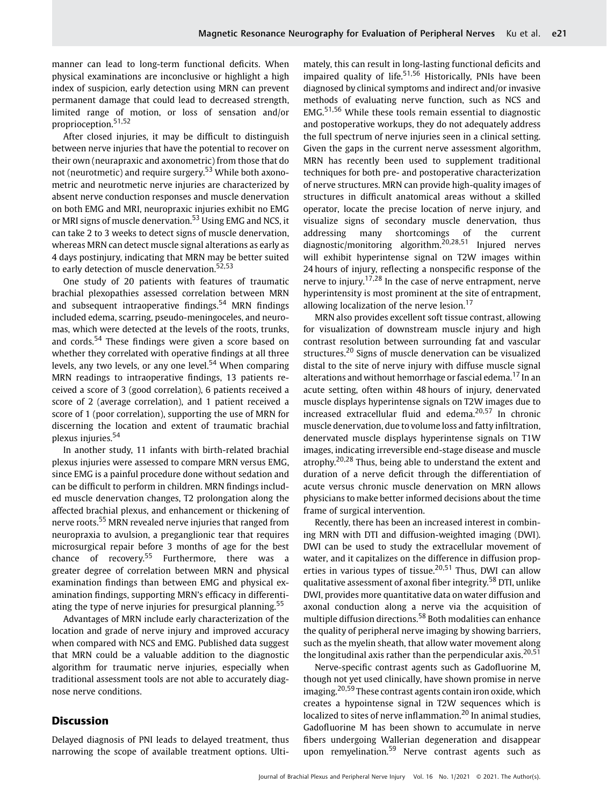manner can lead to long-term functional deficits. When physical examinations are inconclusive or highlight a high index of suspicion, early detection using MRN can prevent permanent damage that could lead to decreased strength, limited range of motion, or loss of sensation and/or proprioception.51,52

After closed injuries, it may be difficult to distinguish between nerve injuries that have the potential to recover on their own (neurapraxic and axonometric) from those that do not (neurotmetic) and require surgery.<sup>53</sup> While both axonometric and neurotmetic nerve injuries are characterized by absent nerve conduction responses and muscle denervation on both EMG and MRI, neuropraxic injuries exhibit no EMG or MRI signs of muscle denervation.<sup>53</sup> Using EMG and NCS, it can take 2 to 3 weeks to detect signs of muscle denervation, whereas MRN can detect muscle signal alterations as early as 4 days postinjury, indicating that MRN may be better suited to early detection of muscle denervation.<sup>52,53</sup>

One study of 20 patients with features of traumatic brachial plexopathies assessed correlation between MRN and subsequent intraoperative findings.<sup>54</sup> MRN findings included edema, scarring, pseudo-meningoceles, and neuromas, which were detected at the levels of the roots, trunks, and cords.<sup>54</sup> These findings were given a score based on whether they correlated with operative findings at all three levels, any two levels, or any one level.<sup>54</sup> When comparing MRN readings to intraoperative findings, 13 patients received a score of 3 (good correlation), 6 patients received a score of 2 (average correlation), and 1 patient received a score of 1 (poor correlation), supporting the use of MRN for discerning the location and extent of traumatic brachial plexus injuries.<sup>54</sup>

In another study, 11 infants with birth-related brachial plexus injuries were assessed to compare MRN versus EMG, since EMG is a painful procedure done without sedation and can be difficult to perform in children. MRN findings included muscle denervation changes, T2 prolongation along the affected brachial plexus, and enhancement or thickening of nerve roots.<sup>55</sup> MRN revealed nerve injuries that ranged from neuropraxia to avulsion, a preganglionic tear that requires microsurgical repair before 3 months of age for the best chance of recovery.<sup>55</sup> Furthermore, there was a greater degree of correlation between MRN and physical examination findings than between EMG and physical examination findings, supporting MRN's efficacy in differentiating the type of nerve injuries for presurgical planning.<sup>55</sup>

Advantages of MRN include early characterization of the location and grade of nerve injury and improved accuracy when compared with NCS and EMG. Published data suggest that MRN could be a valuable addition to the diagnostic algorithm for traumatic nerve injuries, especially when traditional assessment tools are not able to accurately diagnose nerve conditions.

### Discussion

Delayed diagnosis of PNI leads to delayed treatment, thus narrowing the scope of available treatment options. Ultimately, this can result in long-lasting functional deficits and impaired quality of life.<sup>51,56</sup> Historically, PNIs have been diagnosed by clinical symptoms and indirect and/or invasive methods of evaluating nerve function, such as NCS and EMG.51,56 While these tools remain essential to diagnostic and postoperative workups, they do not adequately address the full spectrum of nerve injuries seen in a clinical setting. Given the gaps in the current nerve assessment algorithm, MRN has recently been used to supplement traditional techniques for both pre- and postoperative characterization of nerve structures. MRN can provide high-quality images of structures in difficult anatomical areas without a skilled operator, locate the precise location of nerve injury, and visualize signs of secondary muscle denervation, thus addressing many shortcomings of the current diagnostic/monitoring algorithm.<sup>20,28,51</sup> Injured nerves will exhibit hyperintense signal on T2W images within 24 hours of injury, reflecting a nonspecific response of the nerve to injury.<sup>17,28</sup> In the case of nerve entrapment, nerve hyperintensity is most prominent at the site of entrapment, allowing localization of the nerve lesion.<sup>17</sup>

MRN also provides excellent soft tissue contrast, allowing for visualization of downstream muscle injury and high contrast resolution between surrounding fat and vascular structures.<sup>20</sup> Signs of muscle denervation can be visualized distal to the site of nerve injury with diffuse muscle signal alterations and without hemorrhage or fascial edema.<sup>17</sup> In an acute setting, often within 48 hours of injury, denervated muscle displays hyperintense signals on T2W images due to increased extracellular fluid and edema.<sup>20,57</sup> In chronic muscle denervation, due to volume loss and fatty infiltration, denervated muscle displays hyperintense signals on T1W images, indicating irreversible end-stage disease and muscle atrophy.<sup>20,28</sup> Thus, being able to understand the extent and duration of a nerve deficit through the differentiation of acute versus chronic muscle denervation on MRN allows physicians to make better informed decisions about the time frame of surgical intervention.

Recently, there has been an increased interest in combining MRN with DTI and diffusion-weighted imaging (DWI). DWI can be used to study the extracellular movement of water, and it capitalizes on the difference in diffusion properties in various types of tissue.<sup>20,51</sup> Thus, DWI can allow qualitative assessment of axonal fiber integrity.<sup>58</sup> DTI, unlike DWI, provides more quantitative data on water diffusion and axonal conduction along a nerve via the acquisition of multiple diffusion directions.<sup>58</sup> Both modalities can enhance the quality of peripheral nerve imaging by showing barriers, such as the myelin sheath, that allow water movement along the longitudinal axis rather than the perpendicular axis.<sup>20,51</sup>

Nerve-specific contrast agents such as Gadofluorine M, though not yet used clinically, have shown promise in nerve imaging.<sup>20,59</sup> These contrast agents contain iron oxide, which creates a hypointense signal in T2W sequences which is localized to sites of nerve inflammation.<sup>20</sup> In animal studies, Gadofluorine M has been shown to accumulate in nerve fibers undergoing Wallerian degeneration and disappear upon remyelination.<sup>59</sup> Nerve contrast agents such as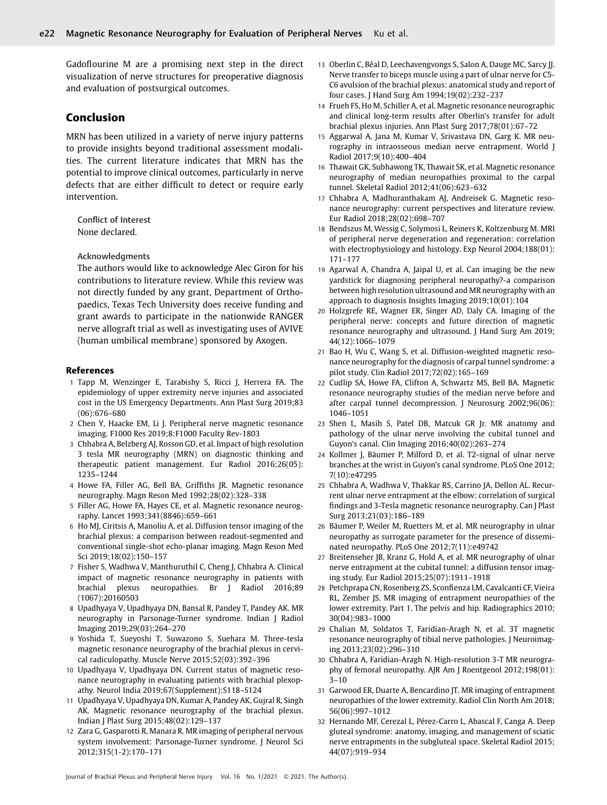Gadoflourine M are a promising next step in the direct visualization of nerve structures for preoperative diagnosis and evaluation of postsurgical outcomes.

# Conclusion

MRN has been utilized in a variety of nerve injury patterns to provide insights beyond traditional assessment modalities. The current literature indicates that MRN has the potential to improve clinical outcomes, particularly in nerve defects that are either difficult to detect or require early intervention.

Conflict of Interest None declared.

Acknowledgments

The authors would like to acknowledge Alec Giron for his contributions to literature review. While this review was not directly funded by any grant, Department of Orthopaedics, Texas Tech University does receive funding and grant awards to participate in the nationwide RANGER nerve allograft trial as well as investigating uses of AVIVE (human umbilical membrane) sponsored by Axogen.

#### References

- 1 Tapp M, Wenzinger E, Tarabishy S, Ricci J, Herrera FA. The epidemiology of upper extremity nerve injuries and associated cost in the US Emergency Departments. Ann Plast Surg 2019;83 (06):676–680
- 2 Chen Y, Haacke EM, Li J. Peripheral nerve magnetic resonance imaging. F1000 Res 2019;8:F1000 Faculty Rev-1803
- 3 Chhabra A, Belzberg AJ, Rosson GD, et al. Impact of high resolution 3 tesla MR neurography (MRN) on diagnostic thinking and therapeutic patient management. Eur Radiol 2016;26(05): 1235–1244
- 4 Howe FA, Filler AG, Bell BA, Griffiths JR. Magnetic resonance neurography. Magn Reson Med 1992;28(02):328–338
- 5 Filler AG, Howe FA, Hayes CE, et al. Magnetic resonance neurography. Lancet 1993;341(8846):659–661
- 6 Ho MJ, Ciritsis A, Manoliu A, et al. Diffusion tensor imaging of the brachial plexus: a comparison between readout-segmented and conventional single-shot echo-planar imaging. Magn Reson Med Sci 2019;18(02):150–157
- 7 Fisher S, Wadhwa V, Manthuruthil C, Cheng J, Chhabra A. Clinical impact of magnetic resonance neurography in patients with brachial plexus neuropathies. Br J Radiol 2016;89 (1067):20160503
- 8 Upadhyaya V, Upadhyaya DN, Bansal R, Pandey T, Pandey AK. MR neurography in Parsonage-Turner syndrome. Indian J Radiol Imaging 2019;29(03):264–270
- 9 Yoshida T, Sueyoshi T, Suwazono S, Suehara M. Three-tesla magnetic resonance neurography of the brachial plexus in cervical radiculopathy. Muscle Nerve 2015;52(03):392–396
- 10 Upadhyaya V, Upadhyaya DN. Current status of magnetic resonance neurography in evaluating patients with brachial plexopathy. Neurol India 2019;67(Supplement):S118–S124
- 11 Upadhyaya V, Upadhyaya DN, Kumar A, Pandey AK, Gujral R, Singh AK. Magnetic resonance neurography of the brachial plexus. Indian J Plast Surg 2015;48(02):129–137
- 12 Zara G, Gasparotti R, Manara R. MR imaging of peripheral nervous system involvement: Parsonage-Turner syndrome. J Neurol Sci 2012;315(1-2):170–171
- 13 Oberlin C, Béal D, Leechavengvongs S, Salon A, Dauge MC, Sarcy JJ. Nerve transfer to biceps muscle using a part of ulnar nerve for C5- C6 avulsion of the brachial plexus: anatomical study and report of four cases. J Hand Surg Am 1994;19(02):232–237
- 14 Frueh FS, Ho M, Schiller A, et al. Magnetic resonance neurographic and clinical long-term results after Oberlin's transfer for adult brachial plexus injuries. Ann Plast Surg 2017;78(01):67–72
- 15 Aggarwal A, Jana M, Kumar V, Srivastava DN, Garg K. MR neurography in intraosseous median nerve entrapment. World J Radiol 2017;9(10):400–404
- 16 Thawait GK, Subhawong TK, Thawait SK, et al. Magnetic resonance neurography of median neuropathies proximal to the carpal tunnel. Skeletal Radiol 2012;41(06):623–632
- 17 Chhabra A, Madhuranthakam AJ, Andreisek G. Magnetic resonance neurography: current perspectives and literature review. Eur Radiol 2018;28(02):698–707
- 18 Bendszus M, Wessig C, Solymosi L, Reiners K, Koltzenburg M. MRI of peripheral nerve degeneration and regeneration: correlation with electrophysiology and histology. Exp Neurol 2004;188(01): 171–177
- 19 Agarwal A, Chandra A, Jaipal U, et al. Can imaging be the new yardstick for diagnosing peripheral neuropathy?-a comparison between high resolution ultrasound and MR neurography with an approach to diagnosis Insights Imaging 2019;10(01):104
- 20 Holzgrefe RE, Wagner ER, Singer AD, Daly CA. Imaging of the peripheral nerve: concepts and future direction of magnetic resonance neurography and ultrasound. J Hand Surg Am 2019; 44(12):1066–1079
- 21 Bao H, Wu C, Wang S, et al. Diffusion-weighted magnetic resonance neurography for the diagnosis of carpal tunnel syndrome: a pilot study. Clin Radiol 2017;72(02):165–169
- 22 Cudlip SA, Howe FA, Clifton A, Schwartz MS, Bell BA. Magnetic resonance neurography studies of the median nerve before and after carpal tunnel decompression. J Neurosurg 2002;96(06): 1046–1051
- 23 Shen L, Masih S, Patel DB, Matcuk GR Jr. MR anatomy and pathology of the ulnar nerve involving the cubital tunnel and Guyon's canal. Clin Imaging 2016;40(02):263–274
- 24 Kollmer J, Bäumer P, Milford D, et al. T2-signal of ulnar nerve branches at the wrist in Guyon's canal syndrome. PLoS One 2012; 7(10):e47295
- 25 Chhabra A, Wadhwa V, Thakkar RS, Carrino JA, Dellon AL. Recurrent ulnar nerve entrapment at the elbow: correlation of surgical findings and 3-Tesla magnetic resonance neurography. Can J Plast Surg 2013;21(03):186–189
- 26 Bäumer P, Weiler M, Ruetters M, et al. MR neurography in ulnar neuropathy as surrogate parameter for the presence of disseminated neuropathy. PLoS One 2012;7(11):e49742
- 27 Breitenseher JB, Kranz G, Hold A, et al. MR neurography of ulnar nerve entrapment at the cubital tunnel: a diffusion tensor imaging study. Eur Radiol 2015;25(07):1911–1918
- 28 Petchprapa CN, Rosenberg ZS, Sconfienza LM, Cavalcanti CF, Vieira RL, Zember JS. MR imaging of entrapment neuropathies of the lower extremity. Part 1. The pelvis and hip. Radiographics 2010; 30(04):983–1000
- 29 Chalian M, Soldatos T, Faridian-Aragh N, et al. 3T magnetic resonance neurography of tibial nerve pathologies. J Neuroimaging 2013;23(02):296–310
- 30 Chhabra A, Faridian-Aragh N. High-resolution 3-T MR neurography of femoral neuropathy. AJR Am J Roentgenol 2012;198(01): 3–10
- 31 Garwood ER, Duarte A, Bencardino JT. MR imaging of entrapment neuropathies of the lower extremity. Radiol Clin North Am 2018; 56(06):997–1012
- 32 Hernando MF, Cerezal L, Pérez-Carro L, Abascal F, Canga A. Deep gluteal syndrome: anatomy, imaging, and management of sciatic nerve entrapments in the subgluteal space. Skeletal Radiol 2015; 44(07):919–934